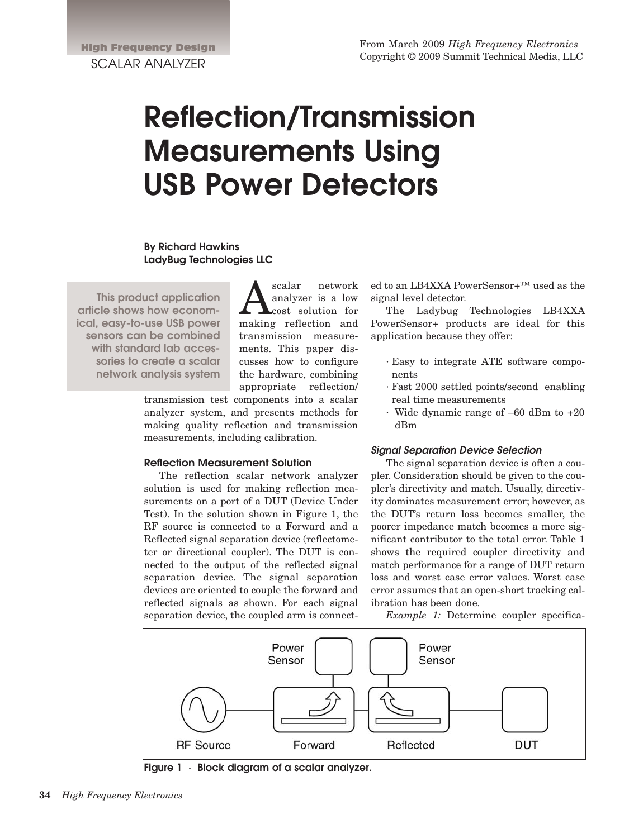# **Reflection/Transmission Measurements Using USB Power Detectors**

# **By Richard Hawkins LadyBug Technologies LLC**

**This product application article shows how economical, easy-to-use USB power sensors can be combined with standard lab accessories to create a scalar network analysis system**

Scalar network<br>
analyzer is a low<br>
making reflection and analyzer is a low cost solution for making reflection and transmission measurements. This paper discusses how to configure the hardware, combining appropriate reflection/

transmission test components into a scalar analyzer system, and presents methods for making quality reflection and transmission measurements, including calibration.

#### **Reflection Measurement Solution**

The reflection scalar network analyzer solution is used for making reflection measurements on a port of a DUT (Device Under Test). In the solution shown in Figure 1, the RF source is connected to a Forward and a Reflected signal separation device (reflectometer or directional coupler). The DUT is connected to the output of the reflected signal separation device. The signal separation devices are oriented to couple the forward and reflected signals as shown. For each signal separation device, the coupled arm is connected to an LB4XXA PowerSensor+™ used as the signal level detector.

The Ladybug Technologies LB4XXA PowerSensor+ products are ideal for this application because they offer:

- · Easy to integrate ATE software components
- · Fast 2000 settled points/second enabling real time measurements
- · Wide dynamic range of –60 dBm to +20 dBm

#### **Signal Separation Device Selection**

The signal separation device is often a coupler. Consideration should be given to the coupler's directivity and match. Usually, directivity dominates measurement error; however, as the DUT's return loss becomes smaller, the poorer impedance match becomes a more significant contributor to the total error. Table 1 shows the required coupler directivity and match performance for a range of DUT return loss and worst case error values. Worst case error assumes that an open-short tracking calibration has been done.

*Example 1:* Determine coupler specifica-



**Figure 1 · Block diagram of a scalar analyzer.**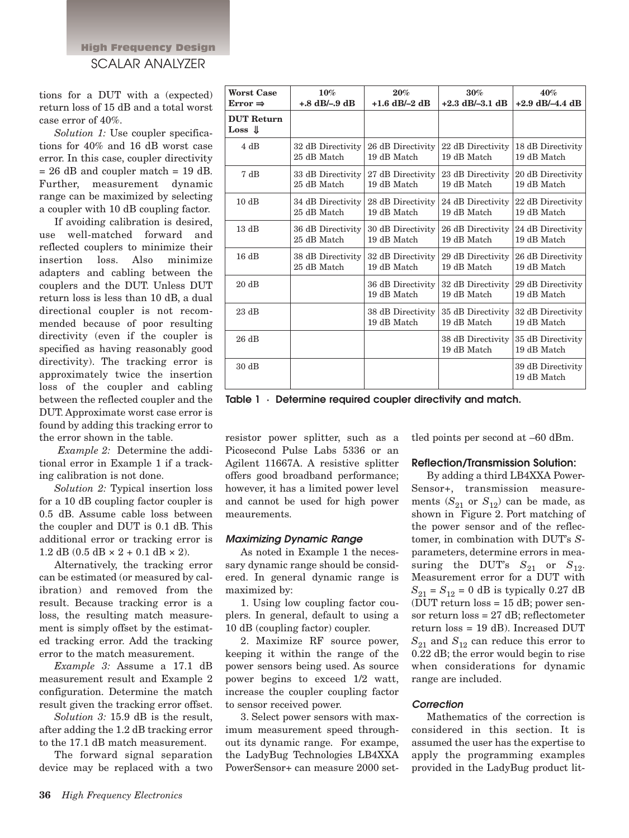# High Frequency Design SCALAR ANALYZER

tions for a DUT with a (expected) return loss of 15 dB and a total worst case error of 40%.

*Solution 1:* Use coupler specifications for 40% and 16 dB worst case error. In this case, coupler directivity  $= 26$  dB and coupler match  $= 19$  dB. Further, measurement dynamic range can be maximized by selecting a coupler with 10 dB coupling factor.

If avoiding calibration is desired, use well-matched forward and reflected couplers to minimize their insertion loss. Also minimize adapters and cabling between the couplers and the DUT. Unless DUT return loss is less than 10 dB, a dual directional coupler is not recommended because of poor resulting directivity (even if the coupler is specified as having reasonably good directivity). The tracking error is approximately twice the insertion loss of the coupler and cabling between the reflected coupler and the DUT. Approximate worst case error is found by adding this tracking error to the error shown in the table.

*Example 2:* Determine the additional error in Example 1 if a tracking calibration is not done.

*Solution 2:* Typical insertion loss for a 10 dB coupling factor coupler is 0.5 dB. Assume cable loss between the coupler and DUT is 0.1 dB. This additional error or tracking error is 1.2 dB (0.5 dB  $\times$  2 + 0.1 dB  $\times$  2).

Alternatively, the tracking error can be estimated (or measured by calibration) and removed from the result. Because tracking error is a loss, the resulting match measurement is simply offset by the estimated tracking error. Add the tracking error to the match measurement.

*Example 3:* Assume a 17.1 dB measurement result and Example 2 configuration. Determine the match result given the tracking error offset.

*Solution 3:* 15.9 dB is the result, after adding the 1.2 dB tracking error to the 17.1 dB match measurement.

The forward signal separation device may be replaced with a two

| <b>Worst Case</b>                       | 10%                              | $20\%$                           | $30\%$                           | 40%                              |
|-----------------------------------------|----------------------------------|----------------------------------|----------------------------------|----------------------------------|
| Error $\Rightarrow$                     | $+.8$ dB/ $-.9$ dB               | $+1.6$ dB/ $-2$ dB               | $+2.3$ dB/ $-3.1$ dB             | $+2.9$ dB/-4.4 dB                |
| <b>DUT Return</b><br>$Loss \, \, \perp$ |                                  |                                  |                                  |                                  |
| 4 dB                                    | 32 dB Directivity<br>25 dB Match | 26 dB Directivity<br>19 dB Match | 22 dB Directivity<br>19 dB Match | 18 dB Directivity<br>19 dB Match |
| 7 dB                                    | 33 dB Directivity<br>25 dB Match | 27 dB Directivity<br>19 dB Match | 23 dB Directivity<br>19 dB Match | 20 dB Directivity<br>19 dB Match |
| 10dB                                    | 34 dB Directivity<br>25 dB Match | 28 dB Directivity<br>19 dB Match | 24 dB Directivity<br>19 dB Match | 22 dB Directivity<br>19 dB Match |
| 13dB                                    | 36 dB Directivity<br>25 dB Match | 30 dB Directivity<br>19 dB Match | 26 dB Directivity<br>19 dB Match | 24 dB Directivity<br>19 dB Match |
| 16dB                                    | 38 dB Directivity<br>25 dB Match | 32 dB Directivity<br>19 dB Match | 29 dB Directivity<br>19 dB Match | 26 dB Directivity<br>19 dB Match |
| 20dB                                    |                                  | 36 dB Directivity<br>19 dB Match | 32 dB Directivity<br>19 dB Match | 29 dB Directivity<br>19 dB Match |
| 23dB                                    |                                  | 38 dB Directivity<br>19 dB Match | 35 dB Directivity<br>19 dB Match | 32 dB Directivity<br>19 dB Match |
| 26 dB                                   |                                  |                                  | 38 dB Directivity<br>19 dB Match | 35 dB Directivity<br>19 dB Match |
| 30 dB                                   |                                  |                                  |                                  | 39 dB Directivity<br>19 dB Match |

**Table 1 · Determine required coupler directivity and match.**

resistor power splitter, such as a Picosecond Pulse Labs 5336 or an Agilent 11667A. A resistive splitter offers good broadband performance; however, it has a limited power level and cannot be used for high power meaurements.

# **Maximizing Dynamic Range**

As noted in Example 1 the necessary dynamic range should be considered. In general dynamic range is maximized by:

1. Using low coupling factor couplers. In general, default to using a 10 dB (coupling factor) coupler.

2. Maximize RF source power, keeping it within the range of the power sensors being used. As source power begins to exceed 1/2 watt, increase the coupler coupling factor to sensor received power.

3. Select power sensors with maximum measurement speed throughout its dynamic range. For exampe, the LadyBug Technologies LB4XXA PowerSensor+ can measure 2000 settled points per second at –60 dBm.

# **Reflection/Transmission Solution:**

By adding a third LB4XXA Power-Sensor+, transmission measurements  $(S_{21}$  or  $S_{12}$ ) can be made, as shown in Figure 2. Port matching of the power sensor and of the reflectomer, in combination with DUT's *S*parameters, determine errors in measuring the DUT's  $S_{21}$  or  $S_{12}$ . Measurement error for a DUT with  $S_{21} = S_{12} = 0$  dB is typically 0.27 dB (DUT return loss  $= 15$  dB; power sensor return loss = 27 dB; reflectometer return loss = 19 dB). Increased DUT  $S_{21}$  and  $S_{12}$  can reduce this error to 0.22 dB; the error would begin to rise when considerations for dynamic range are included.

# **Correction**

Mathematics of the correction is considered in this section. It is assumed the user has the expertise to apply the programming examples provided in the LadyBug product lit-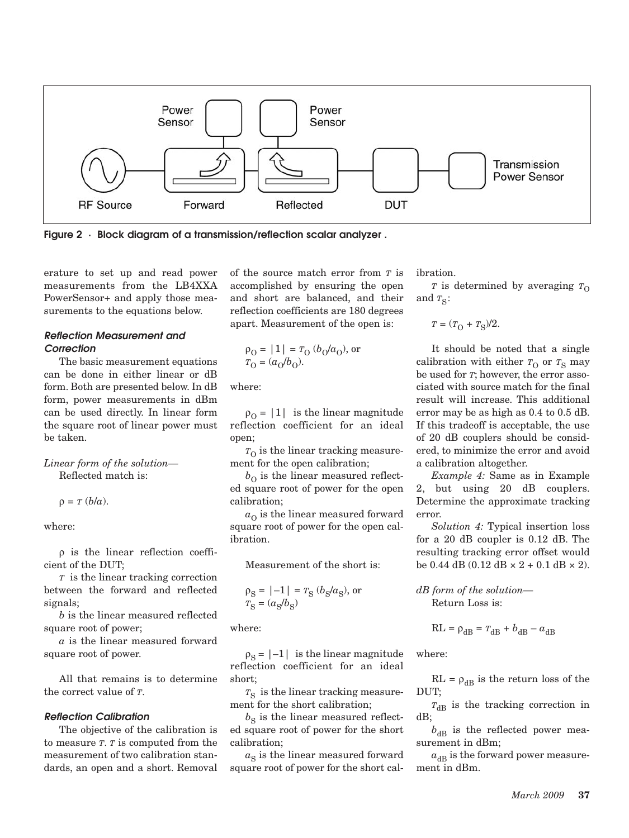

**Figure 2 · Block diagram of a transmission/reflection scalar analyzer .**

erature to set up and read power measurements from the LB4XXA PowerSensor+ and apply those measurements to the equations below.

# **Reflection Measurement and Correction**

The basic measurement equations can be done in either linear or dB form. Both are presented below. In dB form, power measurements in dBm can be used directly. In linear form the square root of linear power must be taken.

*Linear form of the solution—* Reflected match is:

 $\rho = T (b/a)$ .

where:

ρ is the linear reflection coefficient of the DUT;

*T* is the linear tracking correction between the forward and reflected signals;

*b* is the linear measured reflected square root of power;

*a* is the linear measured forward square root of power.

All that remains is to determine the correct value of *T*.

#### **Reflection Calibration**

The objective of the calibration is to measure *T*. *T* is computed from the measurement of two calibration standards, an open and a short. Removal

of the source match error from *T* is accomplished by ensuring the open and short are balanced, and their reflection coefficients are 180 degrees apart. Measurement of the open is:

$$
\rho_0 = |1| = r_0 (b_0/a_0)
$$
, or  
\n $r_0 = (a_0/b_0)$ .

where:

 $\rho_{\Omega} = |1|$  is the linear magnitude reflection coefficient for an ideal open;

 $T<sub>O</sub>$  is the linear tracking measurement for the open calibration;

 $b<sub>O</sub>$  is the linear measured reflected square root of power for the open calibration;

 $a<sub>O</sub>$  is the linear measured forward square root of power for the open calibration.

Measurement of the short is:

$$
\rho_{\rm S} = |-1| = r_{\rm S} (b_{\rm S}/a_{\rm S}), \text{ or } \n T_{\rm S} = (a_{\rm S}/b_{\rm S})
$$

where:

 $\rho_S = |-1|$  is the linear magnitude reflection coefficient for an ideal short;

 $T<sub>S</sub>$  is the linear tracking measurement for the short calibration;

 $b<sub>S</sub>$  is the linear measured reflected square root of power for the short calibration;

 $a<sub>S</sub>$  is the linear measured forward square root of power for the short calibration.

*T* is determined by averaging  $T_{\Omega}$ and  $T_S$ :

$$
T = (TO + TS)/2.
$$

It should be noted that a single calibration with either  $T_{\Omega}$  or  $T_{\rm S}$  may be used for *T*; however, the error associated with source match for the final result will increase. This additional error may be as high as 0.4 to 0.5 dB. If this tradeoff is acceptable, the use of 20 dB couplers should be considered, to minimize the error and avoid a calibration altogether.

*Example 4:* Same as in Example 2, but using 20 dB couplers. Determine the approximate tracking error.

*Solution 4:* Typical insertion loss for a 20 dB coupler is 0.12 dB. The resulting tracking error offset would be 0.44 dB (0.12 dB  $\times$  2 + 0.1 dB  $\times$  2).

# *dB form of the solution—* Return Loss is:

$$
RL = \rho_{dB} = T_{dB} + b_{dB} - a_{dB}
$$

where:

 $RL = \rho_{dB}$  is the return loss of the DUT;

 $T_{\text{dB}}$  is the tracking correction in dB;

 $b_{\text{dR}}$  is the reflected power measurement in dBm;

 $a_{dB}$  is the forward power measurement in dBm.